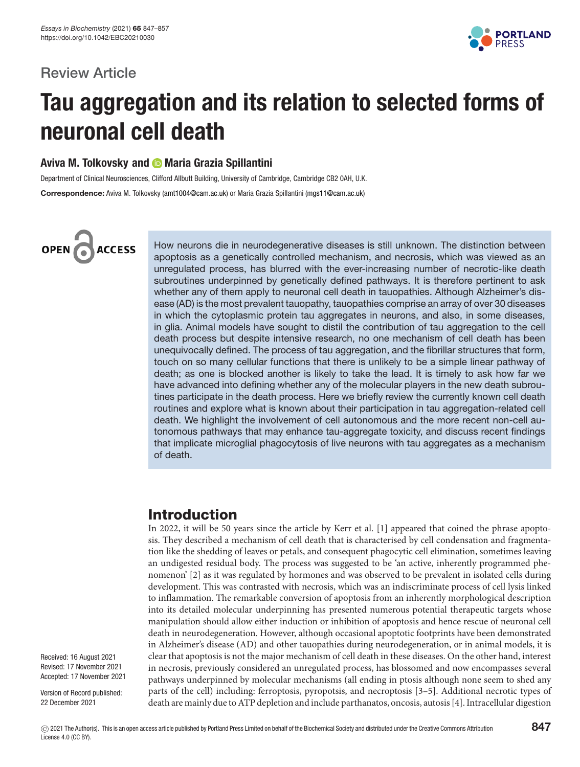### **Review Article**



# **Tau aggregation and its relation to selected forms of neuronal cell death**

### **Aviva M. Tolkovsky and Maria Grazia Spillantini**

Department of Clinical Neurosciences, Clifford Allbutt Building, University of Cambridge, Cambridge CB2 0AH, U.K. **Correspondence:** Aviva M. Tolkovsky [\(amt1004@cam.ac.uk\)](mailto:amt1004@cam.ac.uk) or Maria Grazia Spillantini [\(mgs11@cam.ac.uk\)](mailto:mgs11@cam.ac.uk)

# OPEN<sub>C</sub> **ACCESS**

How neurons die in neurodegenerative diseases is still unknown. The distinction between apoptosis as a genetically controlled mechanism, and necrosis, which was viewed as an unregulated process, has blurred with the ever-increasing number of necrotic-like death subroutines underpinned by genetically defined pathways. It is therefore pertinent to ask whether any of them apply to neuronal cell death in tauopathies. Although Alzheimer's disease (AD) is the most prevalent tauopathy, tauopathies comprise an array of over 30 diseases in which the cytoplasmic protein tau aggregates in neurons, and also, in some diseases, in glia. Animal models have sought to distil the contribution of tau aggregation to the cell death process but despite intensive research, no one mechanism of cell death has been unequivocally defined. The process of tau aggregation, and the fibrillar structures that form, touch on so many cellular functions that there is unlikely to be a simple linear pathway of death; as one is blocked another is likely to take the lead. It is timely to ask how far we have advanced into defining whether any of the molecular players in the new death subroutines participate in the death process. Here we briefly review the currently known cell death routines and explore what is known about their participation in tau aggregation-related cell death. We highlight the involvement of cell autonomous and the more recent non-cell autonomous pathways that may enhance tau-aggregate toxicity, and discuss recent findings that implicate microglial phagocytosis of live neurons with tau aggregates as a mechanism of death.

### **Introduction**

In 2022, it will be 50 years since the article by Kerr et al. [\[1\]](#page-7-0) appeared that coined the phrase apoptosis. They described a mechanism of cell death that is characterised by cell condensation and fragmentation like the shedding of leaves or petals, and consequent phagocytic cell elimination, sometimes leaving an undigested residual body. The process was suggested to be 'an active, inherently programmed phenomenon' [\[2\]](#page-7-1) as it was regulated by hormones and was observed to be prevalent in isolated cells during development. This was contrasted with necrosis, which was an indiscriminate process of cell lysis linked to inflammation. The remarkable conversion of apoptosis from an inherently morphological description into its detailed molecular underpinning has presented numerous potential therapeutic targets whose manipulation should allow either induction or inhibition of apoptosis and hence rescue of neuronal cell death in neurodegeneration. However, although occasional apoptotic footprints have been demonstrated in Alzheimer's disease (AD) and other tauopathies during neurodegeneration, or in animal models, it is clear that apoptosis is not the major mechanism of cell death in these diseases. On the other hand, interest in necrosis, previously considered an unregulated process, has blossomed and now encompasses several pathways underpinned by molecular mechanisms (all ending in ptosis although none seem to shed any parts of the cell) including: ferroptosis, pyropotsis, and necroptosis [\[3–5\]](#page-7-2). Additional necrotic types of death are mainly due to ATP depletion and include parthanatos, oncosis, autosis [\[4\]](#page-7-3). Intracellular digestion

Received: 16 August 2021 Revised: 17 November 2021 Accepted: 17 November 2021

Version of Record published: 22 December 2021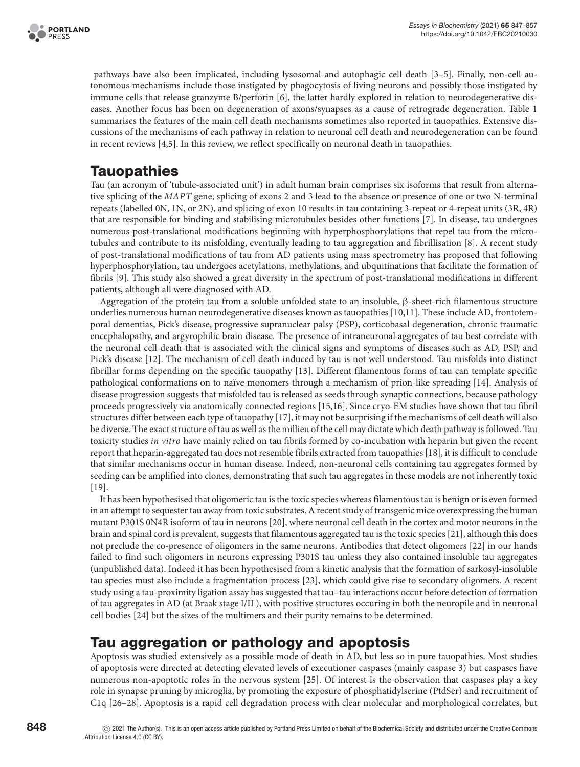

pathways have also been implicated, including lysosomal and autophagic cell death [\[3–5\]](#page-7-2). Finally, non-cell autonomous mechanisms include those instigated by phagocytosis of living neurons and possibly those instigated by immune cells that release granzyme B/perforin [\[6\]](#page-7-4), the latter hardly explored in relation to neurodegenerative diseases. Another focus has been on degeneration of axons/synapses as a cause of retrograde degeneration. [Table 1](#page-2-0) summarises the features of the main cell death mechanisms sometimes also reported in tauopathies. Extensive discussions of the mechanisms of each pathway in relation to neuronal cell death and neurodegeneration can be found in recent reviews [\[4](#page-7-3)[,5\]](#page-7-5). In this review, we reflect specifically on neuronal death in tauopathies.

## **Tauopathies**

Tau (an acronym of 'tubule-associated unit') in adult human brain comprises six isoforms that result from alternative splicing of the *MAPT* gene; splicing of exons 2 and 3 lead to the absence or presence of one or two N-terminal repeats (labelled 0N, 1N, or 2N), and splicing of exon 10 results in tau containing 3-repeat or 4-repeat units (3R, 4R) that are responsible for binding and stabilising microtubules besides other functions [\[7\]](#page-7-6). In disease, tau undergoes numerous post-translational modifications beginning with hyperphosphorylations that repel tau from the microtubules and contribute to its misfolding, eventually leading to tau aggregation and fibrillisation [\[8\]](#page-7-7). A recent study of post-translational modifications of tau from AD patients using mass spectrometry has proposed that following hyperphosphorylation, tau undergoes acetylations, methylations, and ubquitinations that facilitate the formation of fibrils [\[9\]](#page-7-8). This study also showed a great diversity in the spectrum of post-translational modifications in different patients, although all were diagnosed with AD.

Aggregation of the protein tau from a soluble unfolded state to an insoluble, β-sheet-rich filamentous structure underlies numerous human neurodegenerative diseases known as tauopathies [\[10](#page-7-9)[,11\]](#page-7-10). These include AD, frontotemporal dementias, Pick's disease, progressive supranuclear palsy (PSP), corticobasal degeneration, chronic traumatic encephalopathy, and argyrophilic brain disease. The presence of intraneuronal aggregates of tau best correlate with the neuronal cell death that is associated with the clinical signs and symptoms of diseases such as AD, PSP, and Pick's disease [\[12\]](#page-7-11). The mechanism of cell death induced by tau is not well understood. Tau misfolds into distinct fibrillar forms depending on the specific tauopathy [\[13\]](#page-7-12). Different filamentous forms of tau can template specific pathological conformations on to naïve monomers through a mechanism of prion-like spreading [\[14\]](#page-7-13). Analysis of disease progression suggests that misfolded tau is released as seeds through synaptic connections, because pathology proceeds progressively via anatomically connected regions [\[15](#page-7-14)[,16\]](#page-7-15). Since cryo-EM studies have shown that tau fibril structures differ between each type of tauopathy [\[17\]](#page-8-0), it may not be surprising if the mechanisms of cell death will also be diverse. The exact structure of tau as well as the millieu of the cell may dictate which death pathway is followed. Tau toxicity studies *in vitro* have mainly relied on tau fibrils formed by co-incubation with heparin but given the recent report that heparin-aggregated tau does not resemble fibrils extracted from tauopathies [\[18\]](#page-8-1), it is difficult to conclude that similar mechanisms occur in human disease. Indeed, non-neuronal cells containing tau aggregates formed by seeding can be amplified into clones, demonstrating that such tau aggregates in these models are not inherently toxic [\[19\]](#page-8-2).

It has been hypothesised that oligomeric tau is the toxic species whereas filamentous tau is benign or is even formed in an attempt to sequester tau away from toxic substrates. A recent study of transgenic mice overexpressing the human mutant P301S 0N4R isoform of tau in neurons [\[20\]](#page-8-3), where neuronal cell death in the cortex and motor neurons in the brain and spinal cord is prevalent, suggests that filamentous aggregated tau is the toxic species [\[21\]](#page-8-4), although this does not preclude the co-presence of oligomers in the same neurons. Antibodies that detect oligomers [\[22\]](#page-8-5) in our hands failed to find such oligomers in neurons expressing P301S tau unless they also contained insoluble tau aggregates (unpublished data). Indeed it has been hypothesised from a kinetic analysis that the formation of sarkosyl-insoluble tau species must also include a fragmentation process [\[23\]](#page-8-6), which could give rise to secondary oligomers. A recent study using a tau-proximity ligation assay has suggested that tau–tau interactions occur before detection of formation of tau aggregates in AD (at Braak stage I/II ), with positive structures occuring in both the neuropile and in neuronal cell bodies [\[24\]](#page-8-7) but the sizes of the multimers and their purity remains to be determined.

### **Tau aggregation or pathology and apoptosis**

Apoptosis was studied extensively as a possible mode of death in AD, but less so in pure tauopathies. Most studies of apoptosis were directed at detecting elevated levels of executioner caspases (mainly caspase 3) but caspases have numerous non-apoptotic roles in the nervous system [\[25\]](#page-8-8). Of interest is the observation that caspases play a key role in synapse pruning by microglia, by promoting the exposure of phosphatidylserine (PtdSer) and recruitment of C1q [\[26–28\]](#page-8-9). Apoptosis is a rapid cell degradation process with clear molecular and morphological correlates, but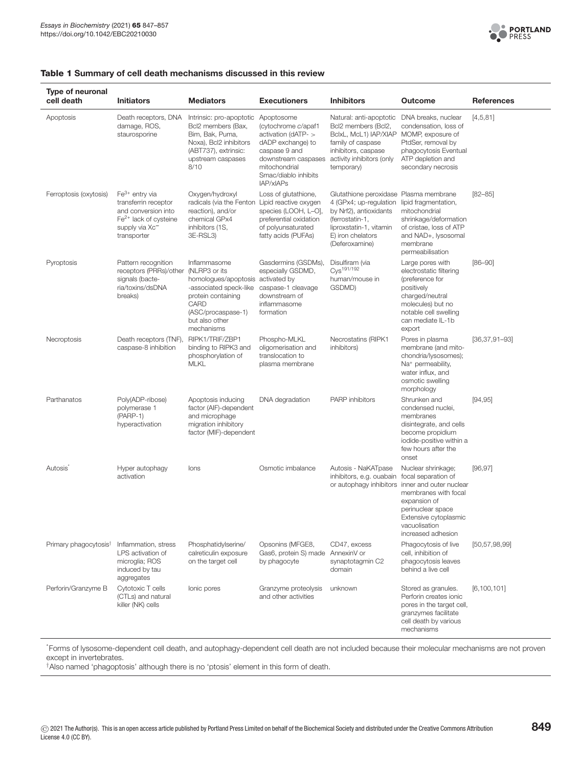

#### <span id="page-2-0"></span>**Table 1 Summary of cell death mechanisms discussed in this review**

| Type of neuronal<br>cell death    | <b>Initiators</b>                                                                                                                       | <b>Mediators</b>                                                                                                                                                                 | <b>Executioners</b>                                                                                                                                                             | <b>Inhibitors</b>                                                                                                                                                               | <b>Outcome</b>                                                                                                                                                                                                            | <b>References</b>   |
|-----------------------------------|-----------------------------------------------------------------------------------------------------------------------------------------|----------------------------------------------------------------------------------------------------------------------------------------------------------------------------------|---------------------------------------------------------------------------------------------------------------------------------------------------------------------------------|---------------------------------------------------------------------------------------------------------------------------------------------------------------------------------|---------------------------------------------------------------------------------------------------------------------------------------------------------------------------------------------------------------------------|---------------------|
| Apoptosis                         | Death receptors, DNA<br>damage, ROS,<br>staurosporine                                                                                   | Intrinsic: pro-apoptotic<br>Bcl2 members (Bax,<br>Bim, Bak, Puma,<br>Noxa), Bcl2 inhibitors<br>(ABT737), extrinsic:<br>upstream caspases<br>8/10                                 | Apoptosome<br>(cytochrome c/apaf1<br>activation ( $dATP - >$<br>dADP exchange) to<br>caspase 9 and<br>downstream caspases<br>mitochondrial<br>Smac/diablo inhibits<br>IAP/xIAPs | Natural: anti-apoptotic<br>Bcl2 members (Bcl2,<br>BclxL, McL1) IAP/XIAP<br>family of caspase<br>inhibitors, caspase<br>activity inhibitors (only<br>temporary)                  | DNA breaks, nuclear<br>condensation, loss of<br>MOMP, exposure of<br>PtdSer, removal by<br>phagocytosis Eventual<br>ATP depletion and<br>secondary necrosis                                                               | [4,5,81]            |
| Ferroptosis (oxytosis)            | $Fe3+$ entry via<br>transferrin receptor<br>and conversion into<br>$Fe2+$ lack of cysteine<br>supply via Xc <sup>-</sup><br>transporter | Oxygen/hydroxyl<br>radicals (via the Fenton Lipid reactive oxygen<br>reaction), and/or<br>chemical GPx4<br>inhibitors (1S,<br>3E-RSL3)                                           | Loss of glutathione,<br>species (LOOH, L-O),<br>preferential oxidation<br>of polyunsaturated<br>fatty acids (PUFAs)                                                             | Glutathione peroxidase Plasma membrane<br>4 (GPx4; up-regulation<br>by Nrf2), antioxidants<br>(ferrostatin-1,<br>liproxstatin-1, vitamin<br>E) iron chelators<br>(Deferoxamine) | lipid fragmentation,<br>mitochondrial<br>shrinkage/deformation<br>of cristae, loss of ATP<br>and NAD+, lysosomal<br>membrane<br>permeabilisation                                                                          | $[82 - 85]$         |
| Pyroptosis                        | Pattern recognition<br>receptors (PRRs)/other<br>signals (bacte-<br>ria/toxins/dsDNA<br>breaks)                                         | Inflammasome<br>(NLRP3 or its<br>homologues/apoptosis activated by<br>-associated speck-like<br>protein containing<br>CARD<br>(ASC/procaspase-1)<br>but also other<br>mechanisms | Gasdermins (GSDMs),<br>especially GSDMD,<br>caspase-1 cleavage<br>downstream of<br>inflammasome<br>formation                                                                    | Disulfiram (via<br>Cys <sup>191/192</sup><br>human/mouse in<br>GSDMD)                                                                                                           | Large pores with<br>electrostatic filtering<br>(preference for<br>positively<br>charged/neutral<br>molecules) but no<br>notable cell swelling<br>can mediate IL-1b<br>export                                              | $[86 - 90]$         |
| Necroptosis                       | Death receptors (TNF),<br>caspase-8 inhibition                                                                                          | RIPK1/TRIF/ZBP1<br>binding to RIPK3 and<br>phosphorylation of<br><b>MLKL</b>                                                                                                     | Phospho-MLKL<br>oligomerisation and<br>translocation to<br>plasma membrane                                                                                                      | Necrostatins (RIPK1<br>inhibitors)                                                                                                                                              | Pores in plasma<br>membrane (and mito-<br>chondria/lysosomes);<br>Na <sup>+</sup> permeability,<br>water influx, and<br>osmotic swelling<br>morphology                                                                    | $[36, 37, 91 - 93]$ |
| Parthanatos                       | Poly(ADP-ribose)<br>polymerase 1<br>$(PARP-1)$<br>hyperactivation                                                                       | Apoptosis inducing<br>factor (AIF)-dependent<br>and microphage<br>migration inhibitory<br>factor (MIF)-dependent                                                                 | DNA degradation                                                                                                                                                                 | <b>PARP</b> inhibitors                                                                                                                                                          | Shrunken and<br>condensed nuclei,<br>membranes<br>disintegrate, and cells<br>become propidium<br>iodide-positive within a<br>few hours after the<br>onset                                                                 | [94, 95]            |
| Autosis <sup>®</sup>              | Hyper autophagy<br>activation                                                                                                           | lons                                                                                                                                                                             | Osmotic imbalance                                                                                                                                                               | Autosis - NaKATpase<br>inhibitors, e.g. ouabain                                                                                                                                 | Nuclear shrinkage;<br>focal separation of<br>or autophagy inhibitors inner and outer nuclear<br>membranes with focal<br>expansion of<br>perinuclear space<br>Extensive cytoplasmic<br>vacuolisation<br>increased adhesion | [96, 97]            |
| Primary phagocytosis <sup>†</sup> | Inflammation, stress<br>LPS activation of<br>microglia; ROS<br>induced by tau<br>aggregates                                             | Phosphatidylserine/<br>calreticulin exposure<br>on the target cell                                                                                                               | Opsonins (MFGE8,<br>Gas6, protein S) made AnnexinV or<br>by phagocyte                                                                                                           | CD47, excess<br>synaptotagmin C2<br>domain                                                                                                                                      | Phagocytosis of live<br>cell, inhibition of<br>phagocytosis leaves<br>behind a live cell                                                                                                                                  | [50, 57, 98, 99]    |
| Perforin/Granzyme B               | Cytotoxic T cells<br>(CTLs) and natural<br>killer (NK) cells                                                                            | lonic pores                                                                                                                                                                      | Granzyme proteolysis<br>and other activities                                                                                                                                    | unknown                                                                                                                                                                         | Stored as granules.<br>Perforin creates ionic<br>pores in the target cell,<br>granzymes facilitate<br>cell death by various<br>mechanisms                                                                                 | [6, 100, 101]       |

\* Forms of lysosome-dependent cell death, and autophagy-dependent cell death are not included because their molecular mechanisms are not proven except in invertebrates.

†Also named 'phagoptosis' although there is no 'ptosis' element in this form of death.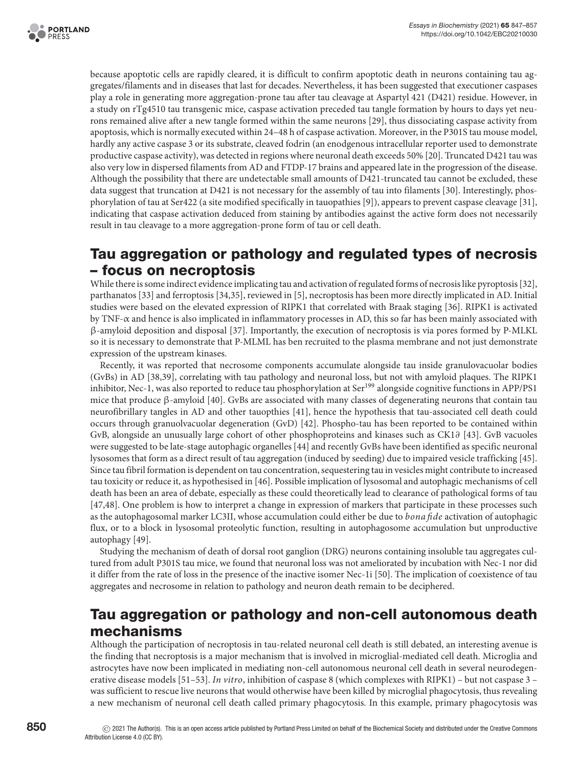

because apoptotic cells are rapidly cleared, it is difficult to confirm apoptotic death in neurons containing tau aggregates/filaments and in diseases that last for decades. Nevertheless, it has been suggested that executioner caspases play a role in generating more aggregation-prone tau after tau cleavage at Aspartyl 421 (D421) residue. However, in a study on rTg4510 tau transgenic mice, caspase activation preceded tau tangle formation by hours to days yet neurons remained alive after a new tangle formed within the same neurons [\[29\]](#page-8-12), thus dissociating caspase activity from apoptosis, which is normally executed within 24–48 h of caspase activation. Moreover, in the P301S tau mouse model, hardly any active caspase 3 or its substrate, cleaved fodrin (an enodgenous intracellular reporter used to demonstrate productive caspase activity), was detected in regions where neuronal death exceeds 50% [\[20\]](#page-8-3). Truncated D421 tau was also very low in dispersed filaments from AD and FTDP-17 brains and appeared late in the progression of the disease. Although the possibility that there are undetectable small amounts of D421-truncated tau cannot be excluded, these data suggest that truncation at D421 is not necessary for the assembly of tau into filaments [\[30\]](#page-8-13). Interestingly, phosphorylation of tau at Ser422 (a site modified specifically in tauopathies [\[9\]](#page-7-8)), appears to prevent caspase cleavage [\[31\]](#page-8-14), indicating that caspase activation deduced from staining by antibodies against the active form does not necessarily result in tau cleavage to a more aggregation-prone form of tau or cell death.

### **Tau aggregation or pathology and regulated types of necrosis – focus on necroptosis**

While there is some indirect evidence implicating tau and activation of regulated forms of necrosis like pyroptosis [\[32\]](#page-8-15), parthanatos [\[33\]](#page-8-16) and ferroptosis [\[34,](#page-8-17)[35\]](#page-8-18), reviewed in [\[5\]](#page-7-5), necroptosis has been more directly implicated in AD. Initial studies were based on the elevated expression of RIPK1 that correlated with Braak staging [\[36\]](#page-8-10). RIPK1 is activated by TNF-α and hence is also implicated in inflammatory processes in AD, this so far has been mainly associated with β-amyloid deposition and disposal [\[37\]](#page-8-11). Importantly, the execution of necroptosis is via pores formed by P-MLKL so it is necessary to demonstrate that P-MLML has ben recruited to the plasma membrane and not just demonstrate expression of the upstream kinases.

Recently, it was reported that necrosome components accumulate alongside tau inside granulovacuolar bodies (GvBs) in AD [\[38](#page-8-19)[,39\]](#page-8-20), correlating with tau pathology and neuronal loss, but not with amyloid plaques. The RIPK1 inhibitor, Nec-1, was also reported to reduce tau phosphorylation at Ser<sup>199</sup> alongside cognitive functions in APP/PS1 mice that produce β-amyloid [\[40\]](#page-8-21). GvBs are associated with many classes of degenerating neurons that contain tau neurofibrillary tangles in AD and other tauopthies [\[41\]](#page-8-22), hence the hypothesis that tau-associated cell death could occurs through granuolvacuolar degeneration (GvD) [\[42\]](#page-8-23). Phospho-tau has been reported to be contained within GvB, alongside an unusually large cohort of other phosphoproteins and kinases such as CK1∂ [\[43\]](#page-8-24). GvB vacuoles were suggested to be late-stage autophagic organelles [\[44\]](#page-8-25) and recently GvBs have been identified as specific neuronal lysosomes that form as a direct result of tau aggregation (induced by seeding) due to impaired vesicle trafficking [\[45\]](#page-9-2). Since tau fibril formation is dependent on tau concentration, sequestering tau in vesicles might contribute to increased tau toxicity or reduce it, as hypothesised in [\[46\]](#page-9-3). Possible implication of lysosomal and autophagic mechanisms of cell death has been an area of debate, especially as these could theoretically lead to clearance of pathological forms of tau [\[47,](#page-9-4)[48\]](#page-9-5). One problem is how to interpret a change in expression of markers that participate in these processes such as the autophagosomal marker LC3II, whose accumulation could either be due to *bona fide* activation of autophagic flux, or to a block in lysosomal proteolytic function, resulting in autophagosome accumulation but unproductive autophagy [\[49\]](#page-9-6).

Studying the mechanism of death of dorsal root ganglion (DRG) neurons containing insoluble tau aggregates cultured from adult P301S tau mice, we found that neuronal loss was not ameliorated by incubation with Nec-1 nor did it differ from the rate of loss in the presence of the inactive isomer Nec-1i [\[50\]](#page-9-0). The implication of coexistence of tau aggregates and necrosome in relation to pathology and neuron death remain to be deciphered.

### **Tau aggregation or pathology and non-cell autonomous death mechanisms**

Although the participation of necroptosis in tau-related neuronal cell death is still debated, an interesting avenue is the finding that necroptosis is a major mechanism that is involved in microglial-mediated cell death. Microglia and astrocytes have now been implicated in mediating non-cell autonomous neuronal cell death in several neurodegenerative disease models [\[51–53\]](#page-9-7). *In vitro*, inhibition of caspase 8 (which complexes with RIPK1) – but not caspase 3 – was sufficient to rescue live neurons that would otherwise have been killed by microglial phagocytosis, thus revealing a new mechanism of neuronal cell death called primary phagocytosis. In this example, primary phagocytosis was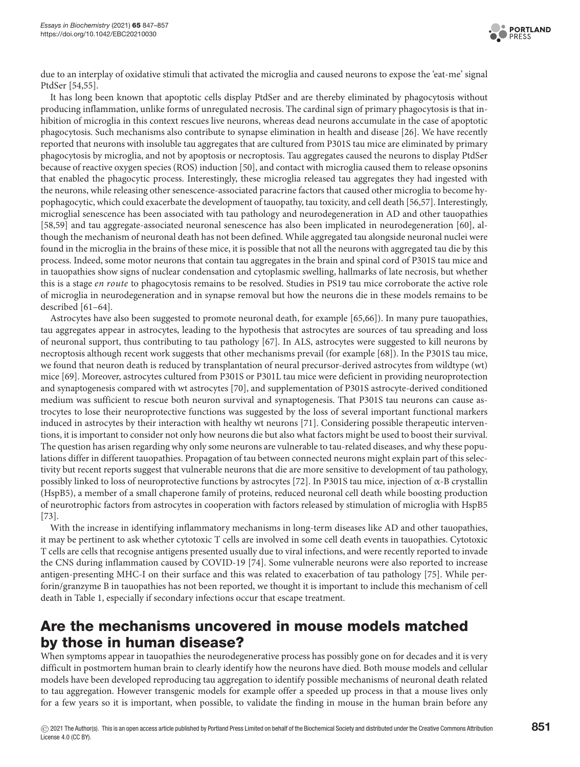

due to an interplay of oxidative stimuli that activated the microglia and caused neurons to expose the 'eat-me' signal PtdSer [\[54,](#page-9-8)[55\]](#page-9-9).

It has long been known that apoptotic cells display PtdSer and are thereby eliminated by phagocytosis without producing inflammation, unlike forms of unregulated necrosis. The cardinal sign of primary phagocytosis is that inhibition of microglia in this context rescues live neurons, whereas dead neurons accumulate in the case of apoptotic phagocytosis. Such mechanisms also contribute to synapse elimination in health and disease [\[26\]](#page-8-9). We have recently reported that neurons with insoluble tau aggregates that are cultured from P301S tau mice are eliminated by primary phagocytosis by microglia, and not by apoptosis or necroptosis. Tau aggregates caused the neurons to display PtdSer because of reactive oxygen species (ROS) induction [\[50\]](#page-9-0), and contact with microglia caused them to release opsonins that enabled the phagocytic process. Interestingly, these microglia released tau aggregates they had ingested with the neurons, while releasing other senescence-associated paracrine factors that caused other microglia to become hypophagocytic, which could exacerbate the development of tauopathy, tau toxicity, and cell death [\[56](#page-9-10)[,57\]](#page-9-1). Interestingly, microglial senescence has been associated with tau pathology and neurodegeneration in AD and other tauopathies [\[58,](#page-9-11)[59\]](#page-9-12) and tau aggregate-associated neuronal senescence has also been implicated in neurodegeneration [\[60\]](#page-9-13), although the mechanism of neuronal death has not been defined. While aggregated tau alongside neuronal nuclei were found in the microglia in the brains of these mice, it is possible that not all the neurons with aggregated tau die by this process. Indeed, some motor neurons that contain tau aggregates in the brain and spinal cord of P301S tau mice and in tauopathies show signs of nuclear condensation and cytoplasmic swelling, hallmarks of late necrosis, but whether this is a stage *en route* to phagocytosis remains to be resolved. Studies in PS19 tau mice corroborate the active role of microglia in neurodegeneration and in synapse removal but how the neurons die in these models remains to be described [\[61–64\]](#page-9-14).

Astrocytes have also been suggested to promote neuronal death, for example [\[65,](#page-9-15)[66\]](#page-9-16)). In many pure tauopathies, tau aggregates appear in astrocytes, leading to the hypothesis that astrocytes are sources of tau spreading and loss of neuronal support, thus contributing to tau pathology [\[67\]](#page-9-17). In ALS, astrocytes were suggested to kill neurons by necroptosis although recent work suggests that other mechanisms prevail (for example [\[68\]](#page-9-18)). In the P301S tau mice, we found that neuron death is reduced by transplantation of neural precursor-derived astrocytes from wildtype (wt) mice [\[69\]](#page-9-19). Moreover, astrocytes cultured from P301S or P301L tau mice were deficient in providing neuroprotection and synaptogenesis compared with wt astrocytes [\[70\]](#page-9-20), and supplementation of P301S astrocyte-derived conditioned medium was sufficient to rescue both neuron survival and synaptogenesis. That P301S tau neurons can cause astrocytes to lose their neuroprotective functions was suggested by the loss of several important functional markers induced in astrocytes by their interaction with healthy wt neurons [\[71\]](#page-9-21). Considering possible therapeutic interventions, it is important to consider not only how neurons die but also what factors might be used to boost their survival. The question has arisen regarding why only some neurons are vulnerable to tau-related diseases, and why these populations differ in different tauopathies. Propagation of tau between connected neurons might explain part of this selectivity but recent reports suggest that vulnerable neurons that die are more sensitive to development of tau pathology, possibly linked to loss of neuroprotective functions by astrocytes [\[72\]](#page-9-22). In P301S tau mice, injection of α-B crystallin (HspB5), a member of a small chaperone family of proteins, reduced neuronal cell death while boosting production of neurotrophic factors from astrocytes in cooperation with factors released by stimulation of microglia with HspB5 [\[73\]](#page-9-23).

With the increase in identifying inflammatory mechanisms in long-term diseases like AD and other tauopathies, it may be pertinent to ask whether cytotoxic T cells are involved in some cell death events in tauopathies. Cytotoxic T cells are cells that recognise antigens presented usually due to viral infections, and were recently reported to invade the CNS during inflammation caused by COVID-19 [\[74\]](#page-10-12). Some vulnerable neurons were also reported to increase antigen-presenting MHC-I on their surface and this was related to exacerbation of tau pathology [\[75\]](#page-10-13). While perforin/granzyme B in tauopathies has not been reported, we thought it is important to include this mechanism of cell death in [Table 1,](#page-2-0) especially if secondary infections occur that escape treatment.

### **Are the mechanisms uncovered in mouse models matched by those in human disease?**

When symptoms appear in tauopathies the neurodegenerative process has possibly gone on for decades and it is very difficult in postmortem human brain to clearly identify how the neurons have died. Both mouse models and cellular models have been developed reproducing tau aggregation to identify possible mechanisms of neuronal death related to tau aggregation. However transgenic models for example offer a speeded up process in that a mouse lives only for a few years so it is important, when possible, to validate the finding in mouse in the human brain before any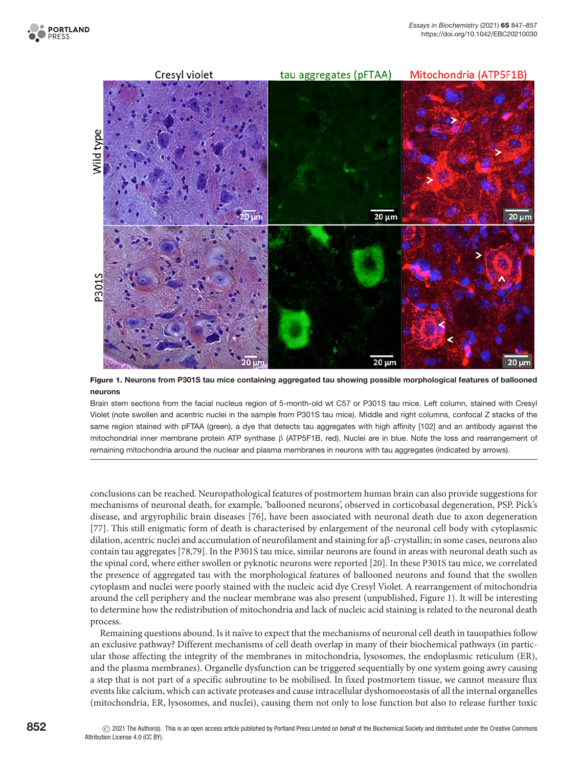



<span id="page-5-0"></span>**Figure 1. Neurons from P301S tau mice containing aggregated tau showing possible morphological features of ballooned neurons**

Brain stem sections from the facial nucleus region of 5-month-old wt C57 or P301S tau mice. Left column, stained with Cresyl Violet (note swollen and acentric nuclei in the sample from P301S tau mice). Middle and right columns, confocal Z stacks of the same region stained with pFTAA (green), a dye that detects tau aggregates with high affinity [\[102\]](#page-10-14) and an antibody against the mitochondrial inner membrane protein ATP synthase β (ATP5F1B, red). Nuclei are in blue. Note the loss and rearrangement of remaining mitochondria around the nuclear and plasma membranes in neurons with tau aggregates (indicated by arrows).

conclusions can be reached. Neuropathological features of postmortem human brain can also provide suggestions for mechanisms of neuronal death, for example, 'ballooned neurons', observed in corticobasal degeneration, PSP, Pick's disease, and argyrophilic brain diseases [\[76\]](#page-10-15), have been associated with neuronal death due to axon degeneration [\[77\]](#page-10-16). This still enigmatic form of death is characterised by enlargement of the neuronal cell body with cytoplasmic dilation, acentric nuclei and accumulation of neurofilament and staining for aβ-crystallin; in some cases, neurons also contain tau aggregates [\[78](#page-10-17)[,79\]](#page-10-18). In the P301S tau mice, similar neurons are found in areas with neuronal death such as the spinal cord, where either swollen or pyknotic neurons were reported [\[20\]](#page-8-3). In these P301S tau mice, we correlated the presence of aggregated tau with the morphological features of ballooned neurons and found that the swollen cytoplasm and nuclei were poorly stained with the nucleic acid dye Cresyl Violet. A rearrangement of mitochondria around the cell periphery and the nuclear membrane was also present (unpublished, [Figure 1\)](#page-5-0). It will be interesting to determine how the redistribution of mitochondria and lack of nucleic acid staining is related to the neuronal death process.

Remaining questions abound. Is it naïve to expect that the mechanisms of neuronal cell death in tauopathies follow an exclusive pathway? Different mechanisms of cell death overlap in many of their biochemical pathways (in particular those affecting the integrity of the membranes in mitochondria, lysosomes, the endoplasmic reticulum (ER), and the plasma membranes). Organelle dysfunction can be triggered sequentially by one system going awry causing a step that is not part of a specific subroutine to be mobilised. In fixed postmortem tissue, we cannot measure flux events like calcium, which can activate proteases and cause intracellular dyshomoeostasis of all the internal organelles (mitochondria, ER, lysosomes, and nuclei), causing them not only to lose function but also to release further toxic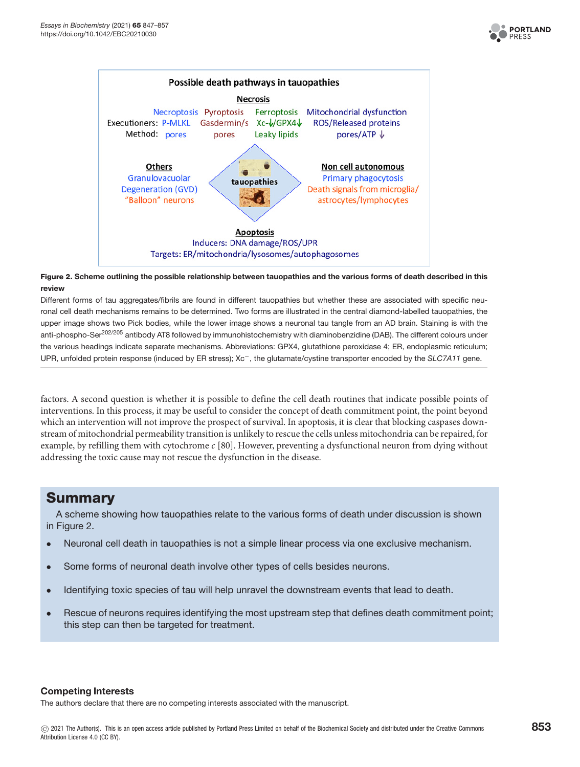



#### <span id="page-6-0"></span>**Figure 2. Scheme outlining the possible relationship between tauopathies and the various forms of death described in this review**

Different forms of tau aggregates/fibrils are found in different tauopathies but whether these are associated with specific neuronal cell death mechanisms remains to be determined. Two forms are illustrated in the central diamond-labelled tauopathies, the upper image shows two Pick bodies, while the lower image shows a neuronal tau tangle from an AD brain. Staining is with the anti-phospho-Ser<sup>202/205</sup> antibody AT8 followed by immunohistochemistry with diaminobenzidine (DAB). The different colours under the various headings indicate separate mechanisms. Abbreviations: GPX4, glutathione peroxidase 4; ER, endoplasmic reticulum; UPR, unfolded protein response (induced by ER stress); Xc<sup>-</sup>, the glutamate/cystine transporter encoded by the SLC7A11 gene.

factors. A second question is whether it is possible to define the cell death routines that indicate possible points of interventions. In this process, it may be useful to consider the concept of death commitment point, the point beyond which an intervention will not improve the prospect of survival. In apoptosis, it is clear that blocking caspases downstream of mitochondrial permeability transition is unlikely to rescue the cells unless mitochondria can be repaired, for example, by refilling them with cytochrome *c* [\[80\]](#page-10-19). However, preventing a dysfunctional neuron from dying without addressing the toxic cause may not rescue the dysfunction in the disease.

### **Summary**

A scheme showing how tauopathies relate to the various forms of death under discussion is shown in [Figure 2.](#page-6-0)

- Neuronal cell death in tauopathies is not a simple linear process via one exclusive mechanism.
- Some forms of neuronal death involve other types of cells besides neurons.
- Identifying toxic species of tau will help unravel the downstream events that lead to death.
- Rescue of neurons requires identifying the most upstream step that defines death commitment point; this step can then be targeted for treatment.

#### **Competing Interests**

The authors declare that there are no competing interests associated with the manuscript.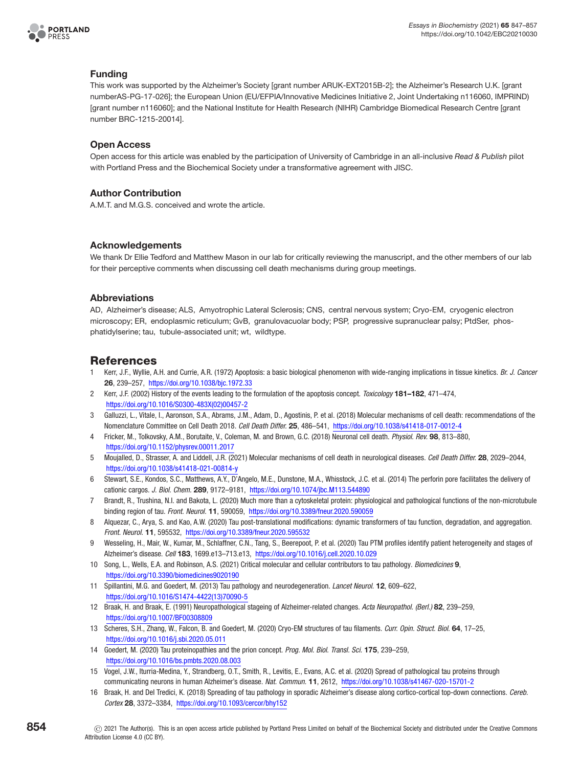

#### **Funding**

This work was supported by the Alzheimer's Society [grant number ARUK-EXT2015B-2]; the Alzheimer's Research U.K. [grant numberAS-PG-17-026]; the European Union (EU/EFPIA/Innovative Medicines Initiative 2, Joint Undertaking n116060, IMPRIND) [grant number n116060]; and the National Institute for Health Research (NIHR) Cambridge Biomedical Research Centre [grant number BRC-1215-20014].

#### **Open Access**

Open access for this article was enabled by the participation of University of Cambridge in an all-inclusive Read & Publish pilot with Portland Press and the Biochemical Society under a transformative agreement with JISC.

#### **Author Contribution**

A.M.T. and M.G.S. conceived and wrote the article.

#### **Acknowledgements**

We thank Dr Ellie Tedford and Matthew Mason in our lab for critically reviewing the manuscript, and the other members of our lab for their perceptive comments when discussing cell death mechanisms during group meetings.

#### **Abbreviations**

AD, Alzheimer's disease; ALS, Amyotrophic Lateral Sclerosis; CNS, central nervous system; Cryo-EM, cryogenic electron microscopy; ER, endoplasmic reticulum; GvB, granulovacuolar body; PSP, progressive supranuclear palsy; PtdSer, phosphatidylserine; tau, tubule-associated unit; wt, wildtype.

### **References**

- <span id="page-7-0"></span>1 Kerr, J.F., Wyllie, A.H. and Currie, A.R. (1972) Apoptosis: a basic biological phenomenon with wide-ranging implications in tissue kinetics. Br. J. Cancer **26**, 239–257, <https://doi.org/10.1038/bjc.1972.33>
- <span id="page-7-1"></span>2 Kerr, J.F. (2002) History of the events leading to the formulation of the apoptosis concept. Toxicology **181–182**, 471–474, [https://doi.org/10.1016/S0300-483X\(02\)00457-2](https://doi.org/10.1016/S0300-483X(02)00457-2)
- <span id="page-7-2"></span>3 Galluzzi, L., Vitale, I., Aaronson, S.A., Abrams, J.M., Adam, D., Agostinis, P. et al. (2018) Molecular mechanisms of cell death: recommendations of the Nomenclature Committee on Cell Death 2018. Cell Death Differ. **25**, 486–541, <https://doi.org/10.1038/s41418-017-0012-4>
- <span id="page-7-3"></span>4 Fricker, M., Tolkovsky, A.M., Borutaite, V., Coleman, M. and Brown, G.C. (2018) Neuronal cell death. Physiol. Rev. **98**, 813–880, <https://doi.org/10.1152/physrev.00011.2017>
- <span id="page-7-5"></span>5 Moujalled, D., Strasser, A. and Liddell, J.R. (2021) Molecular mechanisms of cell death in neurological diseases. Cell Death Differ. **28**, 2029–2044, <https://doi.org/10.1038/s41418-021-00814-y>
- <span id="page-7-4"></span>6 Stewart, S.E., Kondos, S.C., Matthews, A.Y., D'Angelo, M.E., Dunstone, M.A., Whisstock, J.C. et al. (2014) The perforin pore facilitates the delivery of cationic cargos. J. Biol. Chem. **289**, 9172–9181, <https://doi.org/10.1074/jbc.M113.544890>
- <span id="page-7-6"></span>7 Brandt, R., Trushina, N.I. and Bakota, L. (2020) Much more than a cytoskeletal protein: physiological and pathological functions of the non-microtubule binding region of tau. Front. Neurol. **11**, 590059, <https://doi.org/10.3389/fneur.2020.590059>
- <span id="page-7-7"></span>8 Alguezar, C., Arya, S. and Kao, A.W. (2020) Tau post-translational modifications: dynamic transformers of tau function, degradation, and aggregation. Front. Neurol. **11**, 595532, <https://doi.org/10.3389/fneur.2020.595532>
- <span id="page-7-8"></span>9 Wesseling, H., Mair, W., Kumar, M., Schlaffner, C.N., Tang, S., Beerepoot, P. et al. (2020) Tau PTM profiles identify patient heterogeneity and stages of Alzheimer's disease. Cell **183**, 1699.e13–713.e13, <https://doi.org/10.1016/j.cell.2020.10.029>
- <span id="page-7-9"></span>10 Song, L., Wells, E.A. and Robinson, A.S. (2021) Critical molecular and cellular contributors to tau pathology. Biomedicines **9**, <https://doi.org/10.3390/biomedicines9020190>
- <span id="page-7-10"></span>11 Spillantini, M.G. and Goedert, M. (2013) Tau pathology and neurodegeneration. Lancet Neurol. **12**, 609–622, [https://doi.org/10.1016/S1474-4422\(13\)70090-5](https://doi.org/10.1016/S1474-4422(13)70090-5)
- <span id="page-7-11"></span>12 Braak, H. and Braak, E. (1991) Neuropathological stageing of Alzheimer-related changes. Acta Neuropathol. (Berl.) **82**, 239–259, <https://doi.org/10.1007/BF00308809>
- <span id="page-7-12"></span>13 Scheres, S.H., Zhang, W., Falcon, B. and Goedert, M. (2020) Cryo-EM structures of tau filaments. Curr. Opin. Struct. Biol. **64**, 17–25, <https://doi.org/10.1016/j.sbi.2020.05.011>
- <span id="page-7-13"></span>14 Goedert, M. (2020) Tau proteinopathies and the prion concept. Prog. Mol. Biol. Transl. Sci. **175**, 239–259, <https://doi.org/10.1016/bs.pmbts.2020.08.003>
- <span id="page-7-14"></span>15 Vogel, J.W., Iturria-Medina, Y., Strandberg, O.T., Smith, R., Levitis, E., Evans, A.C. et al. (2020) Spread of pathological tau proteins through communicating neurons in human Alzheimer's disease. Nat. Commun. **11**, 2612, <https://doi.org/10.1038/s41467-020-15701-2>
- <span id="page-7-15"></span>16 Braak, H. and Del Tredici, K. (2018) Spreading of tau pathology in sporadic Alzheimer's disease along cortico-cortical top-down connections. Cereb. Cortex **28**, 3372–3384, <https://doi.org/10.1093/cercor/bhy152>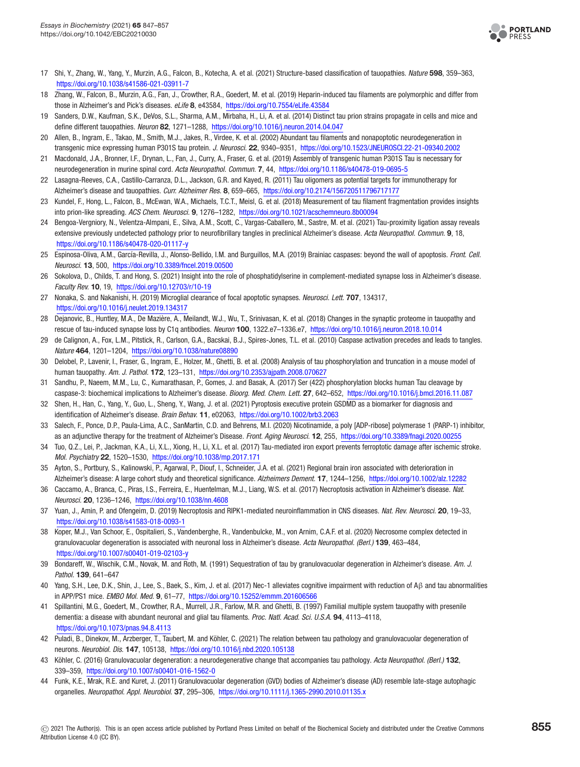

- <span id="page-8-0"></span>17 Shi, Y., Zhang, W., Yang, Y., Murzin, A.G., Falcon, B., Kotecha, A. et al. (2021) Structure-based classification of tauopathies. Nature **598**, 359–363, <https://doi.org/10.1038/s41586-021-03911-7>
- <span id="page-8-1"></span>18 Zhang, W., Falcon, B., Murzin, A.G., Fan, J., Crowther, R.A., Goedert, M. et al. (2019) Heparin-induced tau filaments are polymorphic and differ from those in Alzheimer's and Pick's diseases. eLife **8**, e43584, <https://doi.org/10.7554/eLife.43584>
- <span id="page-8-2"></span>19 Sanders, D.W., Kaufman, S.K., DeVos, S.L., Sharma, A.M., Mirbaha, H., Li, A. et al. (2014) Distinct tau prion strains propagate in cells and mice and define different tauopathies. Neuron **82**, 1271–1288, <https://doi.org/10.1016/j.neuron.2014.04.047>
- <span id="page-8-3"></span>20 Allen, B., Ingram, E., Takao, M., Smith, M.J., Jakes, R., Virdee, K. et al. (2002) Abundant tau filaments and nonapoptotic neurodegeneration in transgenic mice expressing human P301S tau protein. J. Neurosci. **22**, 9340–9351, <https://doi.org/10.1523/JNEUROSCI.22-21-09340.2002>
- <span id="page-8-4"></span>21 Macdonald, J.A., Bronner, I.F., Drynan, L., Fan, J., Curry, A., Fraser, G. et al. (2019) Assembly of transgenic human P301S Tau is necessary for neurodegeneration in murine spinal cord. Acta Neuropathol. Commun. **7**, 44, <https://doi.org/10.1186/s40478-019-0695-5>
- <span id="page-8-5"></span>22 Lasagna-Reeves, C.A., Castillo-Carranza, D.L., Jackson, G.R. and Kayed, R. (2011) Tau oligomers as potential targets for immunotherapy for Alzheimer's disease and tauopathies. Curr. Alzheimer Res. **8**, 659–665, <https://doi.org/10.2174/156720511796717177>
- <span id="page-8-6"></span>23 Kundel, F., Hong, L., Falcon, B., McEwan, W.A., Michaels, T.C.T., Meisl, G. et al. (2018) Measurement of tau filament fragmentation provides insights into prion-like spreading. ACS Chem. Neurosci. **9**, 1276–1282, <https://doi.org/10.1021/acschemneuro.8b00094>
- <span id="page-8-7"></span>24 Bengoa-Vergniory, N., Velentza-Almpani, E., Silva, A.M., Scott, C., Vargas-Caballero, M., Sastre, M. et al. (2021) Tau-proximity ligation assay reveals extensive previously undetected pathology prior to neurofibrillary tangles in preclinical Alzheimer's disease. Acta Neuropathol. Commun. **9**, 18, <https://doi.org/10.1186/s40478-020-01117-y>
- <span id="page-8-8"></span>25 Espinosa-Oliva, A.M., García-Revilla, J., Alonso-Bellido, I.M. and Burguillos, M.A. (2019) Brainiac caspases: beyond the wall of apoptosis. Front. Cell. Neurosci. **13**, 500, <https://doi.org/10.3389/fncel.2019.00500>
- <span id="page-8-9"></span>26 Sokolova, D., Childs, T. and Hong, S. (2021) Insight into the role of phosphatidylserine in complement-mediated synapse loss in Alzheimer's disease. Faculty Rev. **10**, 19, <https://doi.org/10.12703/r/10-19>
- 27 Nonaka, S. and Nakanishi, H. (2019) Microglial clearance of focal apoptotic synapses. Neurosci. Lett. **707**, 134317, <https://doi.org/10.1016/j.neulet.2019.134317>
- 28 Dejanovic, B., Huntley, M.A., De Maziere, A., Meilandt, W.J., Wu, T., Srinivasan, K. et al. (2018) Changes in the synaptic proteome in tauopathy and ` rescue of tau-induced synapse loss by C1q antibodies. Neuron **100**, 1322.e7–1336.e7, <https://doi.org/10.1016/j.neuron.2018.10.014>
- <span id="page-8-12"></span>29 de Calignon, A., Fox, L.M., Pitstick, R., Carlson, G.A., Bacskai, B.J., Spires-Jones, T.L. et al. (2010) Caspase activation precedes and leads to tangles. Nature **464**, 1201–1204, <https://doi.org/10.1038/nature08890>
- <span id="page-8-13"></span>30 Delobel, P., Lavenir, I., Fraser, G., Ingram, E., Holzer, M., Ghetti, B. et al. (2008) Analysis of tau phosphorylation and truncation in a mouse model of human tauopathy. Am. J. Pathol. **172**, 123–131, <https://doi.org/10.2353/ajpath.2008.070627>
- <span id="page-8-14"></span>31 Sandhu, P., Naeem, M.M., Lu, C., Kumarathasan, P., Gomes, J. and Basak, A. (2017) Ser (422) phosphorylation blocks human Tau cleavage by caspase-3: biochemical implications to Alzheimer's disease. Bioorg. Med. Chem. Lett. **27**, 642–652, <https://doi.org/10.1016/j.bmcl.2016.11.087>
- <span id="page-8-15"></span>32 Shen, H., Han, C., Yang, Y., Guo, L., Sheng, Y., Wang, J. et al. (2021) Pyroptosis executive protein GSDMD as a biomarker for diagnosis and identification of Alzheimer's disease. Brain Behav. **11**, e02063, <https://doi.org/10.1002/brb3.2063>
- <span id="page-8-16"></span>33 Salech, F., Ponce, D.P., Paula-Lima, A.C., SanMartin, C.D. and Behrens, M.I. (2020) Nicotinamide, a poly [ADP-ribose] polymerase 1 (PARP-1) inhibitor, as an adjunctive therapy for the treatment of Alzheimer's Disease. Front. Aging Neurosci. **12**, 255, <https://doi.org/10.3389/fnagi.2020.00255>
- <span id="page-8-17"></span>34 Tuo, Q.Z., Lei, P., Jackman, K.A., Li, X.L., Xiong, H., Li, X.L. et al. (2017) Tau-mediated iron export prevents ferroptotic damage after ischemic stroke. Mol. Psychiatry **22**, 1520–1530, <https://doi.org/10.1038/mp.2017.171>
- <span id="page-8-18"></span>35 Ayton, S., Portbury, S., Kalinowski, P., Agarwal, P., Diouf, I., Schneider, J.A. et al. (2021) Regional brain iron associated with deterioration in Alzheimer's disease: A large cohort study and theoretical significance. Alzheimers Dement. **17**, 1244–1256, <https://doi.org/10.1002/alz.12282>
- <span id="page-8-10"></span>36 Caccamo, A., Branca, C., Piras, I.S., Ferreira, E., Huentelman, M.J., Liang, W.S. et al. (2017) Necroptosis activation in Alzheimer's disease. Nat. Neurosci. **20**, 1236–1246, <https://doi.org/10.1038/nn.4608>
- <span id="page-8-11"></span>37 Yuan, J., Amin, P. and Ofengeim, D. (2019) Necroptosis and RIPK1-mediated neuroinflammation in CNS diseases. Nat. Rev. Neurosci. **20**, 19–33, <https://doi.org/10.1038/s41583-018-0093-1>
- <span id="page-8-19"></span>38 Koper, M.J., Van Schoor, E., Ospitalieri, S., Vandenberghe, R., Vandenbulcke, M., von Arnim, C.A.F. et al. (2020) Necrosome complex detected in granulovacuolar degeneration is associated with neuronal loss in Alzheimer's disease. Acta Neuropathol. (Berl.) **139**, 463–484, <https://doi.org/10.1007/s00401-019-02103-y>
- <span id="page-8-20"></span>39 Bondareff, W., Wischik, C.M., Novak, M. and Roth, M. (1991) Sequestration of tau by granulovacuolar degeneration in Alzheimer's disease. Am. J. Pathol. **139**, 641–647
- <span id="page-8-21"></span>40 Yang, S.H., Lee, D.K., Shin, J., Lee, S., Baek, S., Kim, J. et al. (2017) Nec-1 alleviates cognitive impairment with reduction of Aβ and tau abnormalities in APP/PS1 mice. EMBO Mol. Med. **9**, 61–77, <https://doi.org/10.15252/emmm.201606566>
- <span id="page-8-22"></span>41 Spillantini, M.G., Goedert, M., Crowther, R.A., Murrell, J.R., Farlow, M.R. and Ghetti, B. (1997) Familial multiple system tauopathy with presenile dementia: a disease with abundant neuronal and glial tau filaments. Proc. Natl. Acad. Sci. U.S.A. **94**, 4113–4118, <https://doi.org/10.1073/pnas.94.8.4113>
- <span id="page-8-23"></span>42 Puladi, B., Dinekov, M., Arzberger, T., Taubert, M. and Köhler, C. (2021) The relation between tau pathology and granulovacuolar degeneration of neurons. Neurobiol. Dis. **147**, 105138, <https://doi.org/10.1016/j.nbd.2020.105138>
- <span id="page-8-24"></span>43 Köhler, C. (2016) Granulovacuolar degeneration: a neurodegenerative change that accompanies tau pathology. Acta Neuropathol. (Berl.) **132**, 339–359, <https://doi.org/10.1007/s00401-016-1562-0>
- <span id="page-8-25"></span>44 Funk, K.E., Mrak, R.E. and Kuret, J. (2011) Granulovacuolar degeneration (GVD) bodies of Alzheimer's disease (AD) resemble late-stage autophagic organelles. Neuropathol. Appl. Neurobiol. **37**, 295–306, <https://doi.org/10.1111/j.1365-2990.2010.01135.x>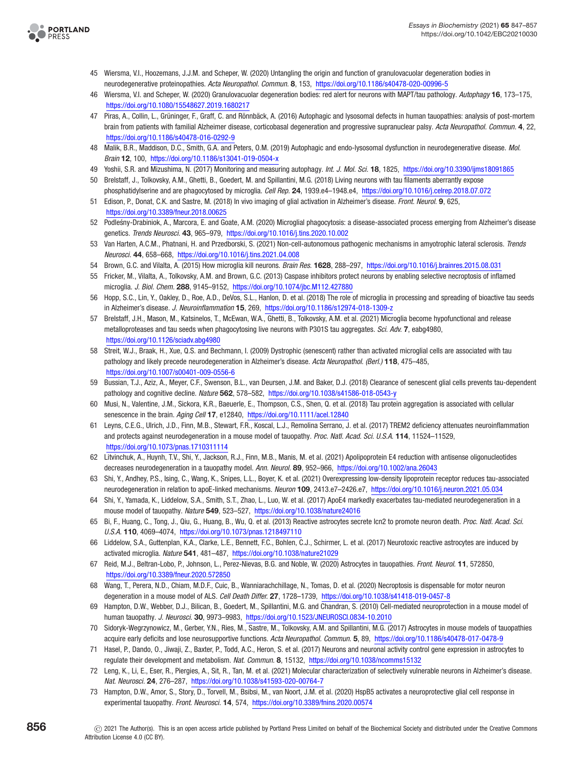

- <span id="page-9-2"></span>45 Wiersma, V.I., Hoozemans, J.J.M. and Scheper, W. (2020) Untangling the origin and function of granulovacuolar degeneration bodies in neurodegenerative proteinopathies. Acta Neuropathol. Commun. **8**, 153, <https://doi.org/10.1186/s40478-020-00996-5>
- <span id="page-9-3"></span>46 Wiersma, V.I. and Scheper, W. (2020) Granulovacuolar degeneration bodies: red alert for neurons with MAPT/tau pathology. Autophagy **16**, 173–175, <https://doi.org/10.1080/15548627.2019.1680217>
- <span id="page-9-4"></span>47 Piras, A., Collin, L., Grüninger, F., Graff, C. and Rönnbäck, A. (2016) Autophagic and lysosomal defects in human tauopathies: analysis of post-mortem brain from patients with familial Alzheimer disease, corticobasal degeneration and progressive supranuclear palsy. Acta Neuropathol. Commun. **4**, 22, <https://doi.org/10.1186/s40478-016-0292-9>
- <span id="page-9-5"></span>48 Malik, B.R., Maddison, D.C., Smith, G.A. and Peters, O.M. (2019) Autophagic and endo-lysosomal dysfunction in neurodegenerative disease. Mol. Brain **12**, 100, <https://doi.org/10.1186/s13041-019-0504-x>
- <span id="page-9-6"></span>49 Yoshii, S.R. and Mizushima, N. (2017) Monitoring and measuring autophagy. Int. J. Mol. Sci. **18**, 1825, <https://doi.org/10.3390/ijms18091865>
- <span id="page-9-0"></span>50 Brelstaff, J., Tolkovsky, A.M., Ghetti, B., Goedert, M. and Spillantini, M.G. (2018) Living neurons with tau filaments aberrantly expose phosphatidylserine and are phagocytosed by microglia. Cell Rep. **24**, 1939.e4–1948.e4, <https://doi.org/10.1016/j.celrep.2018.07.072>
- <span id="page-9-7"></span>51 Edison, P., Donat, C.K. and Sastre, M. (2018) In vivo imaging of glial activation in Alzheimer's disease. Front. Neurol. **9**, 625, <https://doi.org/10.3389/fneur.2018.00625>
- 52 Podlesny-Drabiniok, A., Marcora, E. and Goate, A.M. (2020) Microglial phagocytosis: a disease-associated process emerging from Alzheimer's disease ´ genetics. Trends Neurosci. **43**, 965–979, <https://doi.org/10.1016/j.tins.2020.10.002>
- 53 Van Harten, A.C.M., Phatnani, H. and Przedborski, S. (2021) Non-cell-autonomous pathogenic mechanisms in amyotrophic lateral sclerosis. Trends Neurosci. **44**, 658–668, <https://doi.org/10.1016/j.tins.2021.04.008>
- <span id="page-9-8"></span>54 Brown, G.C. and Vilalta, A. (2015) How microglia kill neurons. Brain Res. **1628**, 288–297, <https://doi.org/10.1016/j.brainres.2015.08.031>
- <span id="page-9-9"></span>55 Fricker, M., Vilalta, A., Tolkovsky, A.M. and Brown, G.C. (2013) Caspase inhibitors protect neurons by enabling selective necroptosis of inflamed microglia. J. Biol. Chem. **288**, 9145–9152, <https://doi.org/10.1074/jbc.M112.427880>
- <span id="page-9-10"></span>56 Hopp, S.C., Lin, Y., Oakley, D., Roe, A.D., DeVos, S.L., Hanlon, D. et al. (2018) The role of microglia in processing and spreading of bioactive tau seeds in Alzheimer's disease. J. Neuroinflammation **15**, 269, <https://doi.org/10.1186/s12974-018-1309-z>
- <span id="page-9-1"></span>57 Brelstaff, J.H., Mason, M., Katsinelos, T., McEwan, W.A., Ghetti, B., Tolkovsky, A.M. et al. (2021) Microglia become hypofunctional and release metalloproteases and tau seeds when phagocytosing live neurons with P301S tau aggregates. Sci. Adv. **7**, eabg4980, <https://doi.org/10.1126/sciadv.abg4980>
- <span id="page-9-11"></span>58 Streit, W.J., Braak, H., Xue, Q.S. and Bechmann, I. (2009) Dystrophic (senescent) rather than activated microglial cells are associated with tau pathology and likely precede neurodegeneration in Alzheimer's disease. Acta Neuropathol. (Berl.) **118**, 475–485, <https://doi.org/10.1007/s00401-009-0556-6>
- <span id="page-9-12"></span>59 Bussian, T.J., Aziz, A., Meyer, C.F., Swenson, B.L., van Deursen, J.M. and Baker, D.J. (2018) Clearance of senescent glial cells prevents tau-dependent pathology and cognitive decline. Nature **562**, 578–582, <https://doi.org/10.1038/s41586-018-0543-y>
- <span id="page-9-13"></span>60 Musi, N., Valentine, J.M., Sickora, K.R., Baeuerle, E., Thompson, C.S., Shen, Q. et al. (2018) Tau protein aggregation is associated with cellular senescence in the brain. Aging Cell **17**, e12840, <https://doi.org/10.1111/acel.12840>
- <span id="page-9-14"></span>61 Leyns, C.E.G., Ulrich, J.D., Finn, M.B., Stewart, F.R., Koscal, L.J., Remolina Serrano, J. et al. (2017) TREM2 deficiency attenuates neuroinflammation and protects against neurodegeneration in a mouse model of tauopathy. Proc. Natl. Acad. Sci. U.S.A. **114**, 11524–11529, <https://doi.org/10.1073/pnas.1710311114>
- 62 Litvinchuk, A., Huynh, T.V., Shi, Y., Jackson, R.J., Finn, M.B., Manis, M. et al. (2021) Apolipoprotein E4 reduction with antisense oligonucleotides decreases neurodegeneration in a tauopathy model. Ann. Neurol. **89**, 952–966, <https://doi.org/10.1002/ana.26043>
- 63 Shi, Y., Andhey, P.S., Ising, C., Wang, K., Snipes, L.L., Boyer, K. et al. (2021) Overexpressing low-density lipoprotein receptor reduces tau-associated neurodegeneration in relation to apoE-linked mechanisms. Neuron **109**, 2413.e7–2426.e7, <https://doi.org/10.1016/j.neuron.2021.05.034>
- 64 Shi, Y., Yamada, K., Liddelow, S.A., Smith, S.T., Zhao, L., Luo, W. et al. (2017) ApoE4 markedly exacerbates tau-mediated neurodegeneration in a mouse model of tauopathy. Nature **549**, 523–527, <https://doi.org/10.1038/nature24016>
- <span id="page-9-15"></span>65 Bi, F., Huang, C., Tong, J., Qiu, G., Huang, B., Wu, Q. et al. (2013) Reactive astrocytes secrete Icn2 to promote neuron death. Proc. Natl. Acad. Sci. U.S.A. **110**, 4069–4074, <https://doi.org/10.1073/pnas.1218497110>
- <span id="page-9-16"></span>66 Liddelow, S.A., Guttenplan, K.A., Clarke, L.E., Bennett, F.C., Bohlen, C.J., Schirmer, L. et al. (2017) Neurotoxic reactive astrocytes are induced by activated microglia. Nature **541**, 481–487, <https://doi.org/10.1038/nature21029>
- <span id="page-9-17"></span>67 Reid, M.J., Beltran-Lobo, P., Johnson, L., Perez-Nievas, B.G. and Noble, W. (2020) Astrocytes in tauopathies. Front. Neurol. **11**, 572850, <https://doi.org/10.3389/fneur.2020.572850>
- <span id="page-9-18"></span>68 Wang, T., Perera, N.D., Chiam, M.D.F., Cuic, B., Wanniarachchillage, N., Tomas, D. et al. (2020) Necroptosis is dispensable for motor neuron degeneration in a mouse model of ALS. Cell Death Differ. **27**, 1728–1739, <https://doi.org/10.1038/s41418-019-0457-8>
- <span id="page-9-19"></span>69 Hampton, D.W., Webber, D.J., Bilican, B., Goedert, M., Spillantini, M.G. and Chandran, S. (2010) Cell-mediated neuroprotection in a mouse model of human tauopathy. J. Neurosci. **30**, 9973–9983, <https://doi.org/10.1523/JNEUROSCI.0834-10.2010>
- <span id="page-9-20"></span>70 Sidoryk-Wegrzynowicz, M., Gerber, Y.N., Ries, M., Sastre, M., Tolkovsky, A.M. and Spillantini, M.G. (2017) Astrocytes in mouse models of tauopathies acquire early deficits and lose neurosupportive functions. Acta Neuropathol. Commun. **5**, 89, <https://doi.org/10.1186/s40478-017-0478-9>
- <span id="page-9-21"></span>71 Hasel, P., Dando, O., Jiwaji, Z., Baxter, P., Todd, A.C., Heron, S. et al. (2017) Neurons and neuronal activity control gene expression in astrocytes to regulate their development and metabolism. Nat. Commun. **8**, 15132, <https://doi.org/10.1038/ncomms15132>
- <span id="page-9-22"></span>72 Leng, K., Li, E., Eser, R., Piergies, A., Sit, R., Tan, M. et al. (2021) Molecular characterization of selectively vulnerable neurons in Alzheimer's disease. Nat. Neurosci. **24**, 276–287, <https://doi.org/10.1038/s41593-020-00764-7>
- <span id="page-9-23"></span>73 Hampton, D.W., Amor, S., Story, D., Torvell, M., Bsibsi, M., van Noort, J.M. et al. (2020) HspB5 activates a neuroprotective glial cell response in experimental tauopathy. Front. Neurosci. **14**, 574, <https://doi.org/10.3389/fnins.2020.00574>